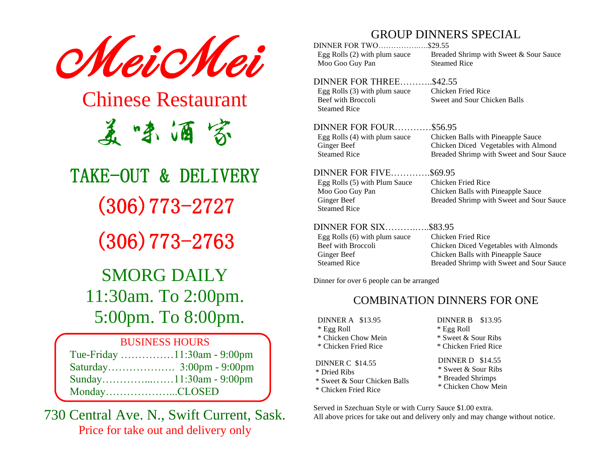

## Chinese Restaurant 美味酒家

# TAKE-OUT & DELIVERY (306)773-2727

(306)773-2763

### SMORG DAILY 11:30am. To 2:00pm. 5:00pm. To 8:00pm.

| <b>BUSINESS HOURS</b> |                             |  |
|-----------------------|-----------------------------|--|
|                       | Tue-Friday 11:30am - 9:00pm |  |
|                       |                             |  |
|                       |                             |  |
| MondayCLOSED          |                             |  |

730 Central Ave. N., Swift Current, Sask. Price for take out and delivery only

#### GROUP DINNERS SPECIAL

DINNER FOR TWO…………….….\$29.55 Moo Goo Guy Pan Steamed Rice

Egg Rolls (2) with plum sauce Breaded Shrimp with Sweet & Sour Sauce

#### DINNER FOR THREE………..\$42.55

Egg Rolls (3) with plum sauce Chicken Fried Rice Steamed Rice

Beef with Broccoli Sweet and Sour Chicken Balls

#### DINNER FOR FOUR…………\$56.95

Egg Rolls (4) with plum sauce Chicken Balls with Pineapple Sauce

#### DINNER FOR FIVE………….\$69.95

Steamed Rice

Ginger Beef Chicken Diced Vegetables with Almond Steamed Rice Breaded Shrimp with Sweet and Sour Sauce

#### Egg Rolls (5) with Plum Sauce Chicken Fried Rice

Moo Goo Guy Pan Chicken Balls with Pineapple Sauce Ginger Beef Breaded Shrimp with Sweet and Sour Sauce

#### DINNER FOR SIX……….…..\$83.95

| Egg Rolls (6) with plum sauce | Chicken Fried Rice                       |
|-------------------------------|------------------------------------------|
| Beef with Broccoli            | Chicken Diced Vegetables with Almonds    |
| Ginger Beef                   | Chicken Balls with Pineapple Sauce       |
| <b>Steamed Rice</b>           | Breaded Shrimp with Sweet and Sour Sauce |
|                               |                                          |

Dinner for over 6 people can be arranged

#### COMBINATION DINNERS FOR ONE

DINNER A \$13.95 \* Egg Roll \* Chicken Chow Mein \* Chicken Fried Rice DINNER C \$14.55 \* Dried Ribs

- \* Sweet & Sour Chicken Balls
- \* Chicken Fried Rice

DINNER B \$13.95 \* Egg Roll \* Sweet & Sour Ribs \* Chicken Fried Rice DINNER D \$14.55

\* Sweet & Sour Ribs \* Breaded Shrimps \* Chicken Chow Mein

Served in Szechuan Style or with Curry Sauce \$1.00 extra. All above prices for take out and delivery only and may change without notice.